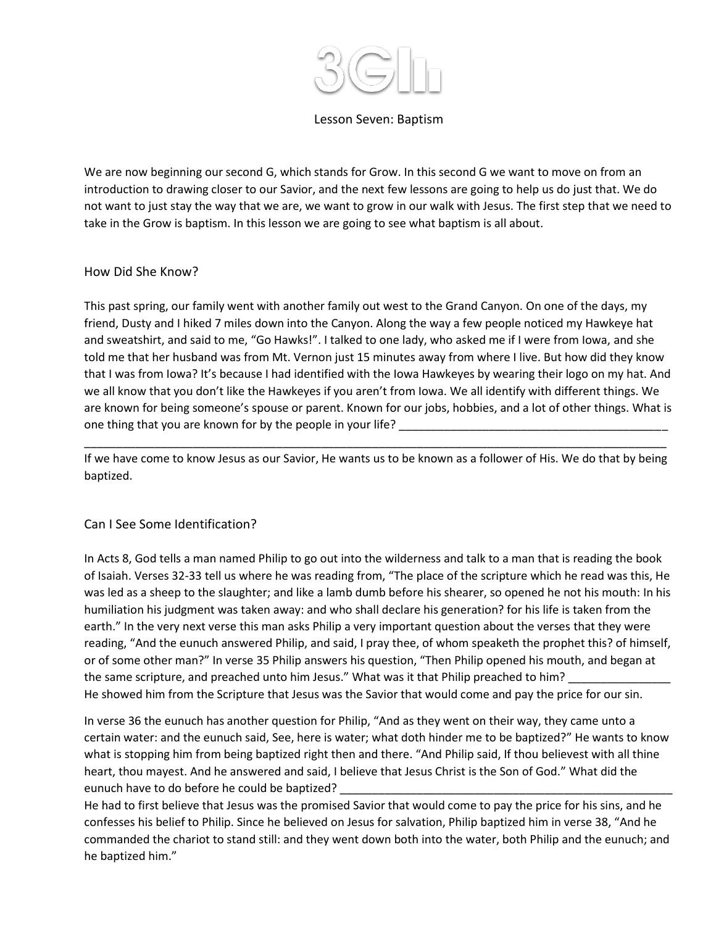

#### Lesson Seven: Baptism

We are now beginning our second G, which stands for Grow. In this second G we want to move on from an introduction to drawing closer to our Savior, and the next few lessons are going to help us do just that. We do not want to just stay the way that we are, we want to grow in our walk with Jesus. The first step that we need to take in the Grow is baptism. In this lesson we are going to see what baptism is all about.

#### How Did She Know?

This past spring, our family went with another family out west to the Grand Canyon. On one of the days, my friend, Dusty and I hiked 7 miles down into the Canyon. Along the way a few people noticed my Hawkeye hat and sweatshirt, and said to me, "Go Hawks!". I talked to one lady, who asked me if I were from Iowa, and she told me that her husband was from Mt. Vernon just 15 minutes away from where I live. But how did they know that I was from Iowa? It's because I had identified with the Iowa Hawkeyes by wearing their logo on my hat. And we all know that you don't like the Hawkeyes if you aren't from Iowa. We all identify with different things. We are known for being someone's spouse or parent. Known for our jobs, hobbies, and a lot of other things. What is one thing that you are known for by the people in your life?

If we have come to know Jesus as our Savior, He wants us to be known as a follower of His. We do that by being baptized.

\_\_\_\_\_\_\_\_\_\_\_\_\_\_\_\_\_\_\_\_\_\_\_\_\_\_\_\_\_\_\_\_\_\_\_\_\_\_\_\_\_\_\_\_\_\_\_\_\_\_\_\_\_\_\_\_\_\_\_\_\_\_\_\_\_\_\_\_\_\_\_\_\_\_\_\_\_\_\_\_\_\_\_\_\_\_\_\_\_\_\_

## Can I See Some Identification?

In Acts 8, God tells a man named Philip to go out into the wilderness and talk to a man that is reading the book of Isaiah. Verses 32-33 tell us where he was reading from, "The place of the scripture which he read was this, He was led as a sheep to the slaughter; and like a lamb dumb before his shearer, so opened he not his mouth: In his humiliation his judgment was taken away: and who shall declare his generation? for his life is taken from the earth." In the very next verse this man asks Philip a very important question about the verses that they were reading, "And the eunuch answered Philip, and said, I pray thee, of whom speaketh the prophet this? of himself, or of some other man?" In verse 35 Philip answers his question, "Then Philip opened his mouth, and began at the same scripture, and preached unto him Jesus." What was it that Philip preached to him? He showed him from the Scripture that Jesus was the Savior that would come and pay the price for our sin.

In verse 36 the eunuch has another question for Philip, "And as they went on their way, they came unto a certain water: and the eunuch said, See, here is water; what doth hinder me to be baptized?" He wants to know what is stopping him from being baptized right then and there. "And Philip said, If thou believest with all thine heart, thou mayest. And he answered and said, I believe that Jesus Christ is the Son of God." What did the eunuch have to do before he could be baptized?

He had to first believe that Jesus was the promised Savior that would come to pay the price for his sins, and he confesses his belief to Philip. Since he believed on Jesus for salvation, Philip baptized him in verse 38, "And he commanded the chariot to stand still: and they went down both into the water, both Philip and the eunuch; and he baptized him."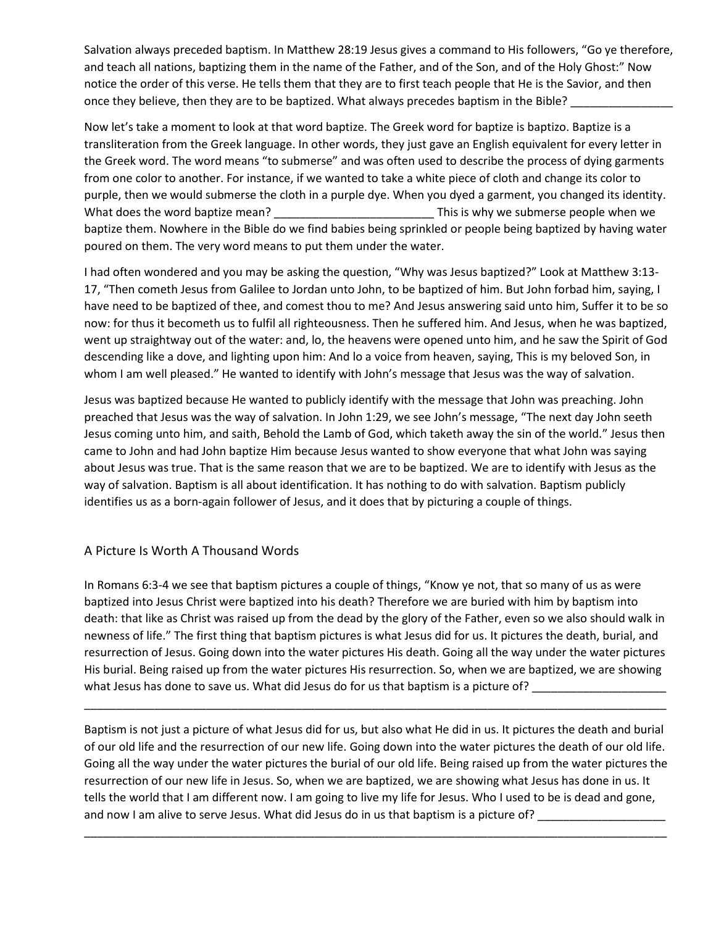Salvation always preceded baptism. In Matthew 28:19 Jesus gives a command to His followers, "Go ye therefore, and teach all nations, baptizing them in the name of the Father, and of the Son, and of the Holy Ghost:" Now notice the order of this verse. He tells them that they are to first teach people that He is the Savior, and then once they believe, then they are to be baptized. What always precedes baptism in the Bible?

Now let's take a moment to look at that word baptize. The Greek word for baptize is baptizo. Baptize is a transliteration from the Greek language. In other words, they just gave an English equivalent for every letter in the Greek word. The word means "to submerse" and was often used to describe the process of dying garments from one color to another. For instance, if we wanted to take a white piece of cloth and change its color to purple, then we would submerse the cloth in a purple dye. When you dyed a garment, you changed its identity. What does the word baptize mean? This is why we submerse people when we baptize them. Nowhere in the Bible do we find babies being sprinkled or people being baptized by having water poured on them. The very word means to put them under the water.

I had often wondered and you may be asking the question, "Why was Jesus baptized?" Look at Matthew 3:13- 17, "Then cometh Jesus from Galilee to Jordan unto John, to be baptized of him. But John forbad him, saying, I have need to be baptized of thee, and comest thou to me? And Jesus answering said unto him, Suffer it to be so now: for thus it becometh us to fulfil all righteousness. Then he suffered him. And Jesus, when he was baptized, went up straightway out of the water: and, lo, the heavens were opened unto him, and he saw the Spirit of God descending like a dove, and lighting upon him: And lo a voice from heaven, saying, This is my beloved Son, in whom I am well pleased." He wanted to identify with John's message that Jesus was the way of salvation.

Jesus was baptized because He wanted to publicly identify with the message that John was preaching. John preached that Jesus was the way of salvation. In John 1:29, we see John's message, "The next day John seeth Jesus coming unto him, and saith, Behold the Lamb of God, which taketh away the sin of the world." Jesus then came to John and had John baptize Him because Jesus wanted to show everyone that what John was saying about Jesus was true. That is the same reason that we are to be baptized. We are to identify with Jesus as the way of salvation. Baptism is all about identification. It has nothing to do with salvation. Baptism publicly identifies us as a born-again follower of Jesus, and it does that by picturing a couple of things.

## A Picture Is Worth A Thousand Words

In Romans 6:3-4 we see that baptism pictures a couple of things, "Know ye not, that so many of us as were baptized into Jesus Christ were baptized into his death? Therefore we are buried with him by baptism into death: that like as Christ was raised up from the dead by the glory of the Father, even so we also should walk in newness of life." The first thing that baptism pictures is what Jesus did for us. It pictures the death, burial, and resurrection of Jesus. Going down into the water pictures His death. Going all the way under the water pictures His burial. Being raised up from the water pictures His resurrection. So, when we are baptized, we are showing what Jesus has done to save us. What did Jesus do for us that baptism is a picture of? \_\_\_\_\_\_\_\_\_\_\_\_

\_\_\_\_\_\_\_\_\_\_\_\_\_\_\_\_\_\_\_\_\_\_\_\_\_\_\_\_\_\_\_\_\_\_\_\_\_\_\_\_\_\_\_\_\_\_\_\_\_\_\_\_\_\_\_\_\_\_\_\_\_\_\_\_\_\_\_\_\_\_\_\_\_\_\_\_\_\_\_\_\_\_\_\_\_\_\_\_\_\_\_

Baptism is not just a picture of what Jesus did for us, but also what He did in us. It pictures the death and burial of our old life and the resurrection of our new life. Going down into the water pictures the death of our old life. Going all the way under the water pictures the burial of our old life. Being raised up from the water pictures the resurrection of our new life in Jesus. So, when we are baptized, we are showing what Jesus has done in us. It tells the world that I am different now. I am going to live my life for Jesus. Who I used to be is dead and gone, and now I am alive to serve Jesus. What did Jesus do in us that baptism is a picture of? \_\_\_\_\_\_\_\_\_\_\_\_\_\_\_\_\_\_\_\_\_

\_\_\_\_\_\_\_\_\_\_\_\_\_\_\_\_\_\_\_\_\_\_\_\_\_\_\_\_\_\_\_\_\_\_\_\_\_\_\_\_\_\_\_\_\_\_\_\_\_\_\_\_\_\_\_\_\_\_\_\_\_\_\_\_\_\_\_\_\_\_\_\_\_\_\_\_\_\_\_\_\_\_\_\_\_\_\_\_\_\_\_